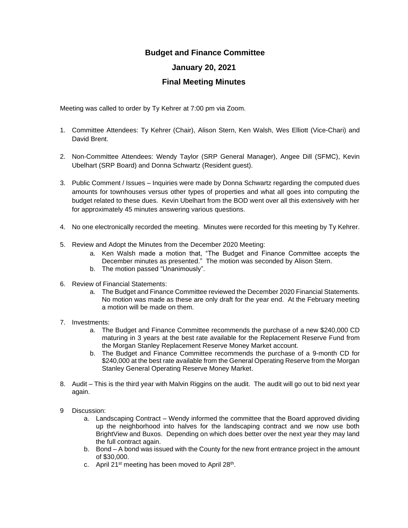## **Budget and Finance Committee**

## **January 20, 2021**

## **Final Meeting Minutes**

Meeting was called to order by Ty Kehrer at 7:00 pm via Zoom.

- 1. Committee Attendees: Ty Kehrer (Chair), Alison Stern, Ken Walsh, Wes Elliott (Vice-Chari) and David Brent.
- 2. Non-Committee Attendees: Wendy Taylor (SRP General Manager), Angee Dill (SFMC), Kevin Ubelhart (SRP Board) and Donna Schwartz (Resident guest).
- 3. Public Comment / Issues Inquiries were made by Donna Schwartz regarding the computed dues amounts for townhouses versus other types of properties and what all goes into computing the budget related to these dues. Kevin Ubelhart from the BOD went over all this extensively with her for approximately 45 minutes answering various questions.
- 4. No one electronically recorded the meeting. Minutes were recorded for this meeting by Ty Kehrer.
- 5. Review and Adopt the Minutes from the December 2020 Meeting:
	- a. Ken Walsh made a motion that, "The Budget and Finance Committee accepts the December minutes as presented." The motion was seconded by Alison Stern.
	- b. The motion passed "Unanimously".
- 6. Review of Financial Statements:
	- a. The Budget and Finance Committee reviewed the December 2020 Financial Statements. No motion was made as these are only draft for the year end. At the February meeting a motion will be made on them.
- 7. Investments:
	- a. The Budget and Finance Committee recommends the purchase of a new \$240,000 CD maturing in 3 years at the best rate available for the Replacement Reserve Fund from the Morgan Stanley Replacement Reserve Money Market account.
	- b. The Budget and Finance Committee recommends the purchase of a 9-month CD for \$240,000 at the best rate available from the General Operating Reserve from the Morgan Stanley General Operating Reserve Money Market.
- 8. Audit This is the third year with Malvin Riggins on the audit. The audit will go out to bid next year again.
- 9 Discussion:
	- a. Landscaping Contract Wendy informed the committee that the Board approved dividing up the neighborhood into halves for the landscaping contract and we now use both BrightView and Buxos. Depending on which does better over the next year they may land the full contract again.
	- b. Bond A bond was issued with the County for the new front entrance project in the amount of \$30,000.
	- c. April 21<sup>st</sup> meeting has been moved to April 28<sup>th</sup>.